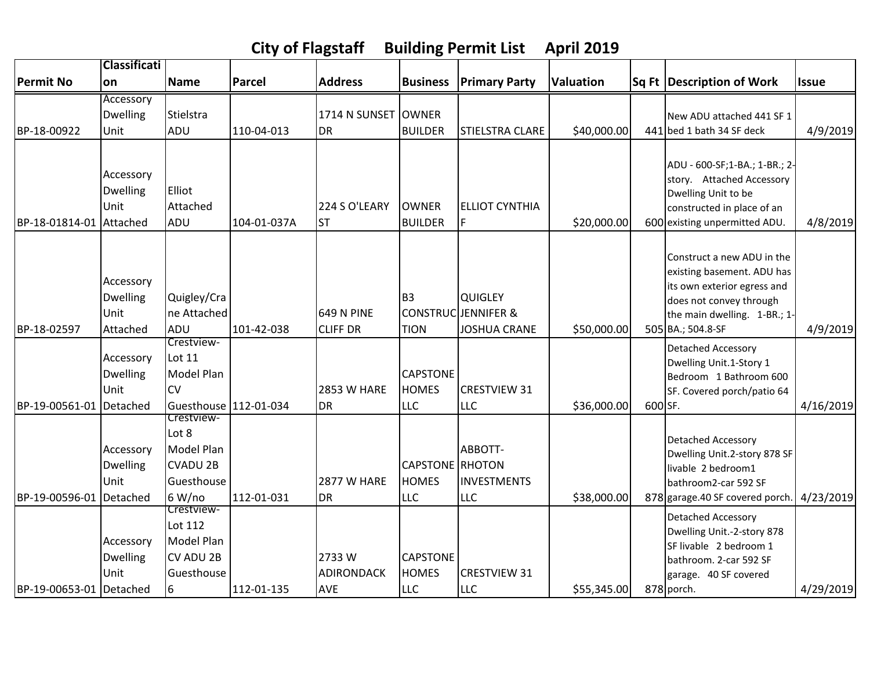|                         | <b>Classificati</b>                              |                                                                              |             |                                          |                                                      |                                                                         |                  |         |                                                                                                                                                                         |              |
|-------------------------|--------------------------------------------------|------------------------------------------------------------------------------|-------------|------------------------------------------|------------------------------------------------------|-------------------------------------------------------------------------|------------------|---------|-------------------------------------------------------------------------------------------------------------------------------------------------------------------------|--------------|
| <b>Permit No</b>        | on                                               | <b>Name</b>                                                                  | Parcel      | <b>Address</b>                           | <b>Business</b>                                      | <b>Primary Party</b>                                                    | <b>Valuation</b> |         | Sq Ft Description of Work                                                                                                                                               | <b>Issue</b> |
|                         | Accessory                                        |                                                                              |             |                                          |                                                      |                                                                         |                  |         |                                                                                                                                                                         |              |
|                         | <b>Dwelling</b>                                  | Stielstra                                                                    |             | 1714 N SUNSET                            | <b>OWNER</b>                                         |                                                                         |                  |         | New ADU attached 441 SF 1                                                                                                                                               |              |
| BP-18-00922             | Unit                                             | ADU                                                                          | 110-04-013  | <b>DR</b>                                | <b>BUILDER</b>                                       | <b>STIELSTRA CLARE</b>                                                  | \$40,000.00      |         | 441 bed 1 bath 34 SF deck                                                                                                                                               | 4/9/2019     |
| BP-18-01814-01 Attached | Accessory<br><b>Dwelling</b><br>Unit             | Elliot<br>Attached<br>ADU                                                    | 104-01-037A | 224 S O'LEARY<br>lst                     | <b>OWNER</b><br><b>BUILDER</b>                       | <b>ELLIOT CYNTHIA</b><br>F                                              | \$20,000.00      |         | ADU - 600-SF;1-BA.; 1-BR.; 2-<br>story. Attached Accessory<br>Dwelling Unit to be<br>constructed in place of an<br>600 existing unpermitted ADU.                        | 4/8/2019     |
| BP-18-02597             | Accessory<br><b>Dwelling</b><br>Unit<br>Attached | Quigley/Cra<br>ne Attached<br>ADU                                            | 101-42-038  | 649 N PINE<br><b>CLIFF DR</b>            | B <sub>3</sub><br><b>TION</b>                        | <b>QUIGLEY</b><br><b>CONSTRUC JENNIFER &amp;</b><br><b>JOSHUA CRANE</b> | \$50,000.00      |         | Construct a new ADU in the<br>existing basement. ADU has<br>its own exterior egress and<br>does not convey through<br>the main dwelling. 1-BR.; 1-<br>505 BA.; 504.8-SF | 4/9/2019     |
| BP-19-00561-01          | Accessory<br><b>Dwelling</b><br>Unit<br>Detached | Crestview-<br>Lot 11<br>Model Plan<br><b>CV</b><br>Guesthouse 112-01-034     |             | <b>2853 W HARE</b><br><b>DR</b>          | <b>CAPSTONE</b><br><b>HOMES</b><br><b>LLC</b>        | <b>CRESTVIEW 31</b><br><b>LLC</b>                                       | \$36,000.00      | 600 SF. | Detached Accessory<br>Dwelling Unit.1-Story 1<br>Bedroom 1 Bathroom 600<br>SF. Covered porch/patio 64                                                                   | 4/16/2019    |
| BP-19-00596-01          | Accessory<br><b>Dwelling</b><br>Unit<br>Detached | Crestview-<br>Lot 8<br>Model Plan<br><b>CVADU 2B</b><br>Guesthouse<br>6 W/no | 112-01-031  | <b>2877 W HARE</b><br><b>DR</b>          | <b>CAPSTONE</b> RHOTON<br><b>HOMES</b><br><b>LLC</b> | ABBOTT-<br>INVESTMENTS<br><b>LLC</b>                                    | \$38,000.00      |         | Detached Accessory<br>Dwelling Unit.2-story 878 SF<br>livable 2 bedroom1<br>bathroom2-car 592 SF<br>878 garage.40 SF covered porch.                                     | 4/23/2019    |
| BP-19-00653-01 Detached | Accessory<br><b>Dwelling</b><br>Unit             | Crestview-<br>Lot 112<br>Model Plan<br><b>CV ADU 2B</b><br>Guesthouse<br>6   | 112-01-135  | 2733W<br><b>ADIRONDACK</b><br><b>AVE</b> | <b>ICAPSTONE</b><br><b>HOMES</b><br><b>LLC</b>       | <b>CRESTVIEW 31</b><br><b>LLC</b>                                       | \$55,345.00      |         | <b>Detached Accessory</b><br>Dwelling Unit.-2-story 878<br>SF livable 2 bedroom 1<br>bathroom. 2-car 592 SF<br>garage. 40 SF covered<br>878 porch.                      | 4/29/2019    |

**City of Flagstaff Building Permit List April 2019**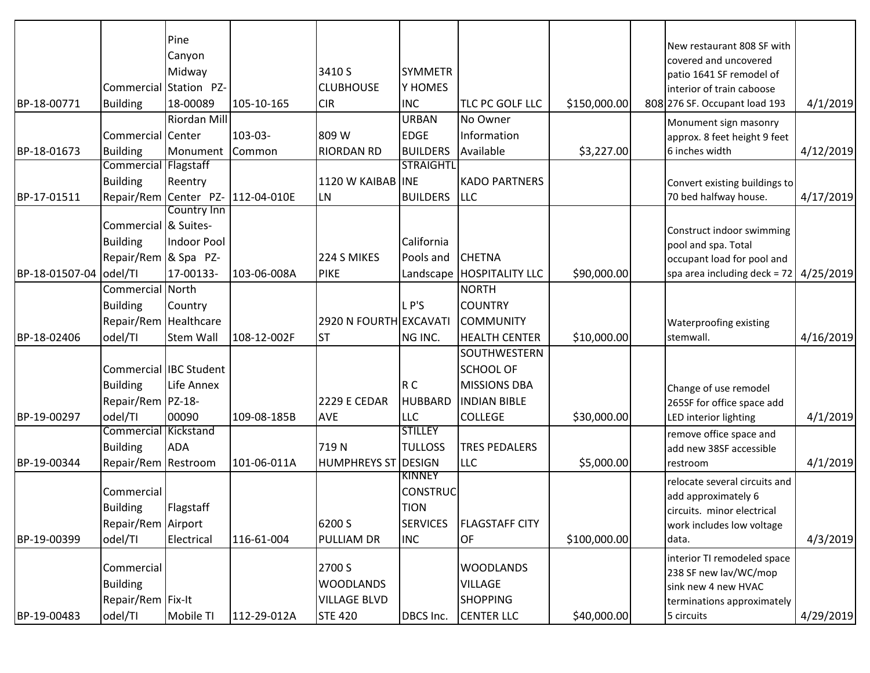|                |                             | Pine                   |                                   |                        |                  |                             |              |                                                        |           |
|----------------|-----------------------------|------------------------|-----------------------------------|------------------------|------------------|-----------------------------|--------------|--------------------------------------------------------|-----------|
|                |                             | Canyon                 |                                   |                        |                  |                             |              | New restaurant 808 SF with                             |           |
|                |                             | Midway                 |                                   | 3410 S                 | <b>SYMMETR</b>   |                             |              | covered and uncovered                                  |           |
|                |                             | Commercial Station PZ- |                                   | <b>CLUBHOUSE</b>       | Y HOMES          |                             |              | patio 1641 SF remodel of<br>interior of train caboose  |           |
| BP-18-00771    | <b>Building</b>             | 18-00089               | 105-10-165                        | <b>CIR</b>             | <b>INC</b>       | TLC PC GOLF LLC             | \$150,000.00 | 808 276 SF. Occupant load 193                          | 4/1/2019  |
|                |                             | Riordan Mill           |                                   |                        | <b>URBAN</b>     | No Owner                    |              |                                                        |           |
|                | Commercial Center           |                        | 103-03-                           | 809 W                  | <b>EDGE</b>      | Information                 |              | Monument sign masonry                                  |           |
| BP-18-01673    | <b>Building</b>             | Monument               |                                   | <b>RIORDAN RD</b>      | <b>BUILDERS</b>  | Available                   | \$3,227.00   | approx. 8 feet height 9 feet<br>6 inches width         | 4/12/2019 |
|                | <b>Commercial Flagstaff</b> |                        | Common                            |                        | <b>STRAIGHTL</b> |                             |              |                                                        |           |
|                | <b>Building</b>             | Reentry                |                                   | 1120 W KAIBAB          | <b>INE</b>       | <b>KADO PARTNERS</b>        |              |                                                        |           |
| BP-17-01511    |                             |                        | Repair/Rem Center PZ- 112-04-010E | <b>LN</b>              | <b>BUILDERS</b>  | <b>LLC</b>                  |              | Convert existing buildings to<br>70 bed halfway house. | 4/17/2019 |
|                |                             | Country Inn            |                                   |                        |                  |                             |              |                                                        |           |
|                | Commercial & Suites-        |                        |                                   |                        |                  |                             |              |                                                        |           |
|                | <b>Building</b>             | <b>Indoor Pool</b>     |                                   |                        | California       |                             |              | Construct indoor swimming                              |           |
|                | Repair/Rem & Spa PZ-        |                        |                                   | 224 S MIKES            | Pools and        | <b>CHETNA</b>               |              | pool and spa. Total<br>occupant load for pool and      |           |
| BP-18-01507-04 | odel/TI                     | 17-00133-              | 103-06-008A                       | <b>PIKE</b>            |                  | Landscape   HOSPITALITY LLC | \$90,000.00  | spa area including $deck = 72$                         | 4/25/2019 |
|                | Commercial North            |                        |                                   |                        |                  | <b>NORTH</b>                |              |                                                        |           |
|                | <b>Building</b>             | Country                |                                   |                        | LP'S             | <b>COUNTRY</b>              |              |                                                        |           |
|                | Repair/Rem Healthcare       |                        |                                   |                        |                  |                             |              |                                                        |           |
|                |                             |                        |                                   | 2920 N FOURTH EXCAVATI |                  | <b>COMMUNITY</b>            |              | <b>Waterproofing existing</b>                          |           |
| BP-18-02406    | odel/TI                     | Stem Wall              | 108-12-002F                       | lst                    | NG INC.          | <b>HEALTH CENTER</b>        | \$10,000.00  | stemwall.                                              | 4/16/2019 |
|                |                             |                        |                                   |                        |                  | SOUTHWESTERN                |              |                                                        |           |
|                |                             | Commercial IBC Student |                                   |                        |                  | <b>SCHOOL OF</b>            |              |                                                        |           |
|                | <b>Building</b>             | Life Annex             |                                   |                        | R C              | <b>MISSIONS DBA</b>         |              | Change of use remodel                                  |           |
|                | Repair/Rem PZ-18-           |                        |                                   | 2229 E CEDAR           | <b>HUBBARD</b>   | <b>INDIAN BIBLE</b>         |              | 265SF for office space add                             |           |
| BP-19-00297    | odel/TI                     | 00090                  | 109-08-185B                       | <b>AVE</b>             | <b>LLC</b>       | <b>COLLEGE</b>              | \$30,000.00  | LED interior lighting                                  | 4/1/2019  |
|                | <b>Commercial Kickstand</b> |                        |                                   |                        | <b>STILLEY</b>   |                             |              | remove office space and                                |           |
|                | <b>Building</b>             | <b>ADA</b>             |                                   | 719N                   | <b>TULLOSS</b>   | <b>TRES PEDALERS</b>        |              | add new 38SF accessible                                |           |
| BP-19-00344    | Repair/Rem Restroom         |                        | 101-06-011A                       | <b>HUMPHREYS ST</b>    | <b>DESIGN</b>    | <b>LLC</b>                  | \$5,000.00   | restroom                                               | 4/1/2019  |
|                |                             |                        |                                   |                        | KINNEY           |                             |              | relocate several circuits and                          |           |
|                | Commercial                  |                        |                                   |                        | CONSTRUC         |                             |              | add approximately 6                                    |           |
|                | <b>Building</b>             | Flagstaff              |                                   |                        | <b>TION</b>      |                             |              | circuits. minor electrical                             |           |
|                | Repair/Rem Airport          |                        |                                   | 6200 S                 | <b>SERVICES</b>  | <b>FLAGSTAFF CITY</b>       |              | work includes low voltage                              |           |
| BP-19-00399    | odel/TI                     | Electrical             | 116-61-004                        | <b>PULLIAM DR</b>      | <b>INC</b>       | OF                          | \$100,000.00 | data.                                                  | 4/3/2019  |
|                |                             |                        |                                   |                        |                  |                             |              | interior TI remodeled space                            |           |
|                | Commercial                  |                        |                                   | 2700 S                 |                  | <b>WOODLANDS</b>            |              | 238 SF new lav/WC/mop                                  |           |
|                | <b>Building</b>             |                        |                                   | <b>WOODLANDS</b>       |                  | <b>VILLAGE</b>              |              | sink new 4 new HVAC                                    |           |
|                | Repair/Rem Fix-It           |                        |                                   | <b>VILLAGE BLVD</b>    |                  | <b>SHOPPING</b>             |              | terminations approximately                             |           |
| BP-19-00483    | odel/TI                     | Mobile TI              | 112-29-012A                       | <b>STE 420</b>         | DBCS Inc.        | <b>CENTER LLC</b>           | \$40,000.00  | 5 circuits                                             | 4/29/2019 |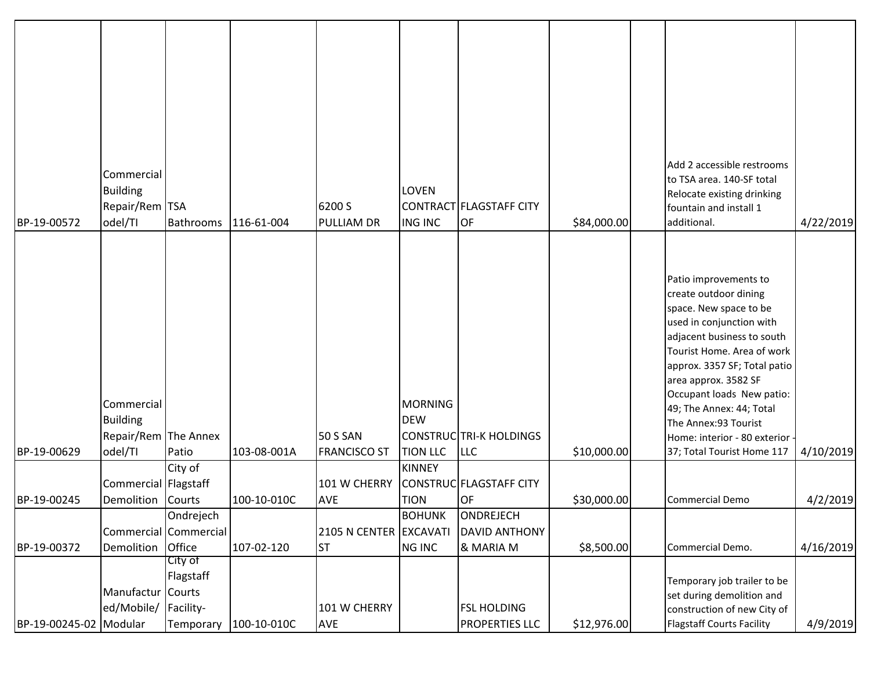| BP-19-00572            | Commercial<br><b>Building</b><br>Repair/Rem TSA<br>odel/TI       | Bathrooms                          | 116-61-004              | 6200 S<br><b>PULLIAM DR</b>            | <b>LOVEN</b><br><b>ING INC</b>                  | CONTRACT FLAGSTAFF CITY<br>OF                  | \$84,000.00 | Add 2 accessible restrooms<br>to TSA area. 140-SF total<br>Relocate existing drinking<br>fountain and install 1<br>additional.                                                                                                                                                                                                                                          | 4/22/2019 |
|------------------------|------------------------------------------------------------------|------------------------------------|-------------------------|----------------------------------------|-------------------------------------------------|------------------------------------------------|-------------|-------------------------------------------------------------------------------------------------------------------------------------------------------------------------------------------------------------------------------------------------------------------------------------------------------------------------------------------------------------------------|-----------|
| BP-19-00629            | Commercial<br><b>Building</b><br>Repair/Rem The Annex<br>odel/TI | Patio                              | 103-08-001A             | <b>50 S SAN</b><br><b>FRANCISCO ST</b> | <b>MORNING</b><br><b>DEW</b><br><b>TION LLC</b> | <b>CONSTRUC TRI-K HOLDINGS</b><br><b>LLC</b>   | \$10,000.00 | Patio improvements to<br>create outdoor dining<br>space. New space to be<br>used in conjunction with<br>adjacent business to south<br>Tourist Home. Area of work<br>approx. 3357 SF; Total patio<br>area approx. 3582 SF<br>Occupant loads New patio:<br>49; The Annex: 44; Total<br>The Annex:93 Tourist<br>Home: interior - 80 exterior<br>37; Total Tourist Home 117 | 4/10/2019 |
| BP-19-00245            | Commercial   Flagstaff<br>Demolition Courts                      | City of                            | 100-10-010C             | 101 W CHERRY<br><b>AVE</b>             | <b>KINNEY</b><br><b>TION</b>                    | CONSTRUC FLAGSTAFF CITY<br>OF                  | \$30,000.00 | Commercial Demo                                                                                                                                                                                                                                                                                                                                                         | 4/2/2019  |
| BP-19-00372            | Demolition Office                                                | Ondrejech<br>Commercial Commercial | 107-02-120              | 2105 N CENTER EXCAVATI<br><b>ST</b>    | <b>BOHUNK</b><br><b>NG INC</b>                  | ONDREJECH<br><b>DAVID ANTHONY</b><br>& MARIA M | \$8,500.00  | Commercial Demo.                                                                                                                                                                                                                                                                                                                                                        | 4/16/2019 |
| BP-19-00245-02 Modular | Manufactur Courts<br>ed/Mobile/ Facility-                        | City of<br>Flagstaff               | Temporary   100-10-010C | 101 W CHERRY<br><b>AVE</b>             |                                                 | <b>FSL HOLDING</b><br><b>PROPERTIES LLC</b>    | \$12,976.00 | Temporary job trailer to be<br>set during demolition and<br>construction of new City of<br>Flagstaff Courts Facility                                                                                                                                                                                                                                                    | 4/9/2019  |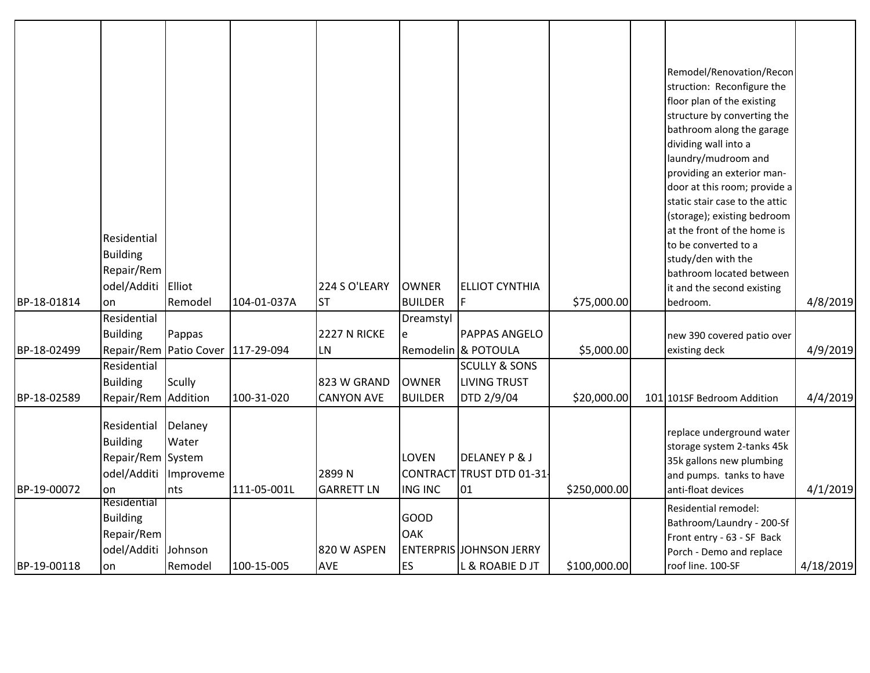| BP-18-01814<br>BP-18-02499 | Residential<br><b>Building</b><br>Repair/Rem<br>odel/Additi<br>on<br>Residential<br><b>Building</b><br>Residential<br><b>Building</b> | Elliot<br>Remodel<br>Pappas<br>Repair/Rem Patio Cover 117-29-094<br><b>Scully</b> | 104-01-037A               | 224 S O'LEARY<br><b>ST</b><br>2227 N RICKE<br>LN.<br>823 W GRAND | <b>OWNER</b><br><b>BUILDER</b><br>Dreamstyl<br>e<br><b>OWNER</b> | <b>ELLIOT CYNTHIA</b><br>IF.<br><b>PAPPAS ANGELO</b><br>Remodelin & POTOULA<br><b>SCULLY &amp; SONS</b><br><b>LIVING TRUST</b> | \$75,000.00<br>\$5,000.00   | Remodel/Renovation/Recon<br>struction: Reconfigure the<br>floor plan of the existing<br>structure by converting the<br>bathroom along the garage<br>dividing wall into a<br>laundry/mudroom and<br>providing an exterior man-<br>door at this room; provide a<br>static stair case to the attic<br>(storage); existing bedroom<br>at the front of the home is<br>to be converted to a<br>study/den with the<br>bathroom located between<br>it and the second existing<br>bedroom.<br>new 390 covered patio over<br>existing deck | 4/8/2019<br>4/9/2019 |
|----------------------------|---------------------------------------------------------------------------------------------------------------------------------------|-----------------------------------------------------------------------------------|---------------------------|------------------------------------------------------------------|------------------------------------------------------------------|--------------------------------------------------------------------------------------------------------------------------------|-----------------------------|----------------------------------------------------------------------------------------------------------------------------------------------------------------------------------------------------------------------------------------------------------------------------------------------------------------------------------------------------------------------------------------------------------------------------------------------------------------------------------------------------------------------------------|----------------------|
| BP-18-02589<br>BP-19-00072 | Repair/Rem Addition<br>Residential<br><b>Building</b><br>Repair/Rem System<br>odel/Additi<br>on                                       | Delaney<br>Water<br>Improveme<br>nts                                              | 100-31-020<br>111-05-001L | <b>CANYON AVE</b><br>2899N<br><b>GARRETT LN</b>                  | <b>BUILDER</b><br>LOVEN<br><b>ING INC</b>                        | DTD 2/9/04<br><b>DELANEY P &amp; J</b><br>CONTRACT TRUST DTD 01-31<br>01                                                       | \$20,000.00<br>\$250,000.00 | 101 101SF Bedroom Addition<br>replace underground water<br>storage system 2-tanks 45k<br>35k gallons new plumbing<br>and pumps. tanks to have<br>anti-float devices                                                                                                                                                                                                                                                                                                                                                              | 4/4/2019<br>4/1/2019 |
| BP-19-00118                | Residential<br><b>Building</b><br>Repair/Rem<br>odel/Additi<br>lon                                                                    | Johnson<br>Remodel                                                                | 100-15-005                | 820 W ASPEN<br><b>AVE</b>                                        | GOOD<br><b>OAK</b><br><b>ES</b>                                  | <b>ENTERPRIS JOHNSON JERRY</b><br>L & ROABIE D JT                                                                              | \$100,000.00                | Residential remodel:<br>Bathroom/Laundry - 200-Sf<br>Front entry - 63 - SF Back<br>Porch - Demo and replace<br>roof line. 100-SF                                                                                                                                                                                                                                                                                                                                                                                                 | 4/18/2019            |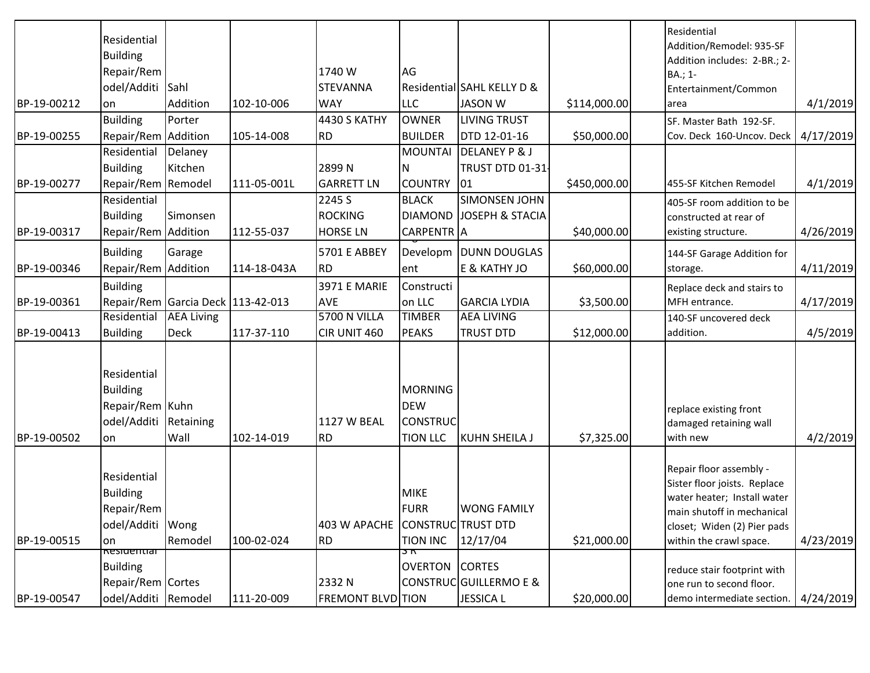|             | Residential<br><b>Building</b>                                                                   |                                   |             |                                       |                                                                    |                                              |              | Residential<br>Addition/Remodel: 935-SF<br>Addition includes: 2-BR.; 2-                                                                                                        |           |
|-------------|--------------------------------------------------------------------------------------------------|-----------------------------------|-------------|---------------------------------------|--------------------------------------------------------------------|----------------------------------------------|--------------|--------------------------------------------------------------------------------------------------------------------------------------------------------------------------------|-----------|
|             | Repair/Rem                                                                                       |                                   |             | 1740 W                                | AG                                                                 |                                              |              | BA.; 1-                                                                                                                                                                        |           |
| BP-19-00212 | odel/Additi Sahl<br>lon                                                                          | Addition                          | 102-10-006  | <b>STEVANNA</b><br><b>WAY</b>         | <b>LLC</b>                                                         | Residential SAHL KELLY D &<br><b>JASON W</b> | \$114,000.00 | Entertainment/Common<br>larea                                                                                                                                                  | 4/1/2019  |
|             | <b>Building</b>                                                                                  | Porter                            |             | <b>4430 S KATHY</b>                   | <b>OWNER</b>                                                       | <b>LIVING TRUST</b>                          |              |                                                                                                                                                                                |           |
| BP-19-00255 |                                                                                                  |                                   | 105-14-008  | RD                                    | <b>BUILDER</b>                                                     | DTD 12-01-16                                 | \$50,000.00  | SF. Master Bath 192-SF.<br>Cov. Deck 160-Uncov. Deck                                                                                                                           | 4/17/2019 |
|             | Repair/Rem Addition<br>Residential                                                               | Delaney                           |             |                                       | <b>MOUNTAI</b>                                                     | <b>DELANEY P &amp; J</b>                     |              |                                                                                                                                                                                |           |
|             | <b>Building</b>                                                                                  | Kitchen                           |             | 2899N                                 | N                                                                  | TRUST DTD 01-31                              |              |                                                                                                                                                                                |           |
| BP-19-00277 | Repair/Rem   Remodel                                                                             |                                   | 111-05-001L | <b>GARRETT LN</b>                     | <b>COUNTRY</b>                                                     | 01                                           | \$450,000.00 | 455-SF Kitchen Remodel                                                                                                                                                         | 4/1/2019  |
|             | Residential                                                                                      |                                   |             | 2245 S                                | <b>BLACK</b>                                                       | <b>SIMONSEN JOHN</b>                         |              |                                                                                                                                                                                |           |
|             | <b>Building</b>                                                                                  | Simonsen                          |             | <b>ROCKING</b>                        | <b>DIAMOND</b>                                                     | <b>JOSEPH &amp; STACIA</b>                   |              | 405-SF room addition to be                                                                                                                                                     |           |
| BP-19-00317 | Repair/Rem Addition                                                                              |                                   | 112-55-037  | <b>HORSE LN</b>                       | <b>CARPENTR</b> A                                                  |                                              | \$40,000.00  | constructed at rear of<br>existing structure.                                                                                                                                  | 4/26/2019 |
|             |                                                                                                  |                                   |             |                                       |                                                                    |                                              |              |                                                                                                                                                                                |           |
|             | <b>Building</b>                                                                                  | Garage                            |             | 5701 E ABBEY                          | Developm                                                           | <b>DUNN DOUGLAS</b>                          |              | 144-SF Garage Addition for                                                                                                                                                     |           |
| BP-19-00346 | Repair/Rem Addition                                                                              |                                   | 114-18-043A | RD                                    | ent                                                                | E & KATHY JO                                 | \$60,000.00  | storage.                                                                                                                                                                       | 4/11/2019 |
|             | <b>Building</b>                                                                                  |                                   |             | <b>3971 E MARIE</b>                   | Constructi                                                         |                                              |              | Replace deck and stairs to                                                                                                                                                     |           |
| BP-19-00361 |                                                                                                  | Repair/Rem Garcia Deck 113-42-013 |             | <b>AVE</b>                            | on LLC                                                             | <b>GARCIA LYDIA</b>                          | \$3,500.00   | MFH entrance.                                                                                                                                                                  | 4/17/2019 |
|             | Residential                                                                                      | <b>AEA Living</b>                 |             | 5700 N VILLA                          | <b>TIMBER</b>                                                      | <b>AEA LIVING</b>                            |              | 140-SF uncovered deck                                                                                                                                                          |           |
| BP-19-00413 | <b>Building</b>                                                                                  | <b>Deck</b>                       | 117-37-110  | CIR UNIT 460                          | <b>PEAKS</b>                                                       | <b>TRUST DTD</b>                             | \$12,000.00  | addition.                                                                                                                                                                      | 4/5/2019  |
| BP-19-00502 | Residential<br><b>Building</b><br>Repair/Rem Kuhn<br>odel/Additi Retaining<br>on                 | Wall                              | 102-14-019  | <b>1127 W BEAL</b><br>RD <sup> </sup> | <b>MORNING</b><br><b>DEW</b><br><b>CONSTRUC</b><br><b>TION LLC</b> | KUHN SHEILA J                                | \$7,325.00   | replace existing front<br>damaged retaining wall<br>with new                                                                                                                   | 4/2/2019  |
| BP-19-00515 | Residential<br><b>Building</b><br>Repair/Rem<br>odel/Additi Wong<br>on<br><del>Residentiar</del> | Remodel                           | 100-02-024  | 403 W APACHE CONSTRUC TRUST DTD<br>RD | <b>MIKE</b><br>FURR<br>TION INC<br>᠍᠍ᠴᡳ                            | <b>WONG FAMILY</b><br>12/17/04               | \$21,000.00  | Repair floor assembly -<br>Sister floor joists. Replace<br>water heater; Install water<br>main shutoff in mechanical<br>closet; Widen (2) Pier pads<br>within the crawl space. | 4/23/2019 |
|             | <b>Building</b>                                                                                  |                                   |             |                                       | <b>OVERTON CORTES</b>                                              |                                              |              | reduce stair footprint with                                                                                                                                                    |           |
|             | Repair/Rem Cortes                                                                                |                                   |             | 2332 N                                |                                                                    | <b>CONSTRUC GUILLERMO E &amp;</b>            |              | one run to second floor.                                                                                                                                                       |           |
| BP-19-00547 | odel/Additi Remodel                                                                              |                                   | 111-20-009  | <b>FREMONT BLVD</b> TION              |                                                                    | <b>JESSICA L</b>                             | \$20,000.00  | demo intermediate section.                                                                                                                                                     | 4/24/2019 |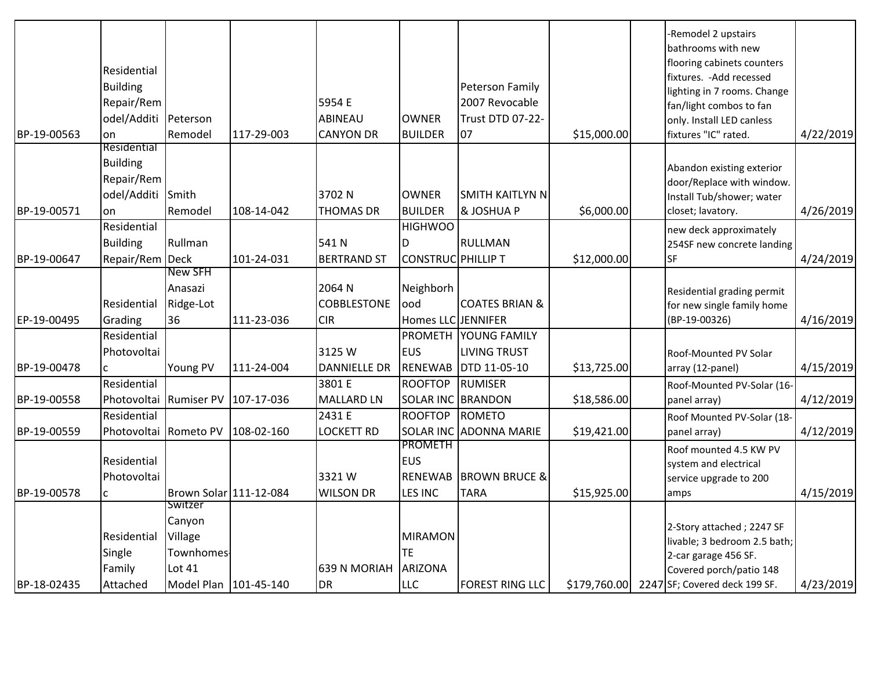| BP-19-00563 | Residential<br><b>Building</b><br>Repair/Rem<br>odel/Additi Peterson<br>on | Remodel                 | 117-29-003 | 5954 E<br>ABINEAU<br><b>CANYON DR</b> | <b>OWNER</b><br><b>BUILDER</b> | <b>Peterson Family</b><br>2007 Revocable<br>Trust DTD 07-22-<br>07 | \$15,000.00  | -Remodel 2 upstairs<br>bathrooms with new<br>flooring cabinets counters<br>fixtures. - Add recessed<br>lighting in 7 rooms. Change<br>fan/light combos to fan<br>only. Install LED canless<br>fixtures "IC" rated. | 4/22/2019 |
|-------------|----------------------------------------------------------------------------|-------------------------|------------|---------------------------------------|--------------------------------|--------------------------------------------------------------------|--------------|--------------------------------------------------------------------------------------------------------------------------------------------------------------------------------------------------------------------|-----------|
|             | Residential<br><b>Building</b>                                             |                         |            |                                       |                                |                                                                    |              |                                                                                                                                                                                                                    |           |
|             | Repair/Rem                                                                 |                         |            |                                       |                                |                                                                    |              | Abandon existing exterior<br>door/Replace with window.                                                                                                                                                             |           |
|             | odel/Additi Smith                                                          |                         |            | 3702N                                 | <b>OWNER</b>                   | <b>SMITH KAITLYN N</b>                                             |              | Install Tub/shower; water                                                                                                                                                                                          |           |
| BP-19-00571 | on                                                                         | Remodel                 | 108-14-042 | <b>THOMAS DR</b>                      | <b>BUILDER</b>                 | & JOSHUA P                                                         | \$6,000.00   | closet; lavatory.                                                                                                                                                                                                  | 4/26/2019 |
|             | Residential                                                                |                         |            |                                       | <b>HIGHWOO</b>                 |                                                                    |              | new deck approximately                                                                                                                                                                                             |           |
|             | <b>Building</b>                                                            | Rullman                 |            | 541N                                  | D.                             | RULLMAN                                                            |              | 254SF new concrete landing                                                                                                                                                                                         |           |
| BP-19-00647 | Repair/Rem Deck                                                            |                         | 101-24-031 | <b>BERTRAND ST</b>                    | CONSTRUC PHILLIP T             |                                                                    | \$12,000.00  | <b>SF</b>                                                                                                                                                                                                          | 4/24/2019 |
|             |                                                                            | New SFH                 |            |                                       |                                |                                                                    |              |                                                                                                                                                                                                                    |           |
|             |                                                                            | Anasazi                 |            | 2064 N                                | Neighborh                      |                                                                    |              | Residential grading permit                                                                                                                                                                                         |           |
|             | Residential                                                                | Ridge-Lot               |            | <b>COBBLESTONE</b>                    | ood                            | <b>COATES BRIAN &amp;</b>                                          |              | for new single family home                                                                                                                                                                                         |           |
| EP-19-00495 | Grading                                                                    | 36                      | 111-23-036 | <b>CIR</b>                            | Homes LLC JENNIFER             |                                                                    |              | (BP-19-00326)                                                                                                                                                                                                      | 4/16/2019 |
|             | Residential                                                                |                         |            |                                       |                                | PROMETH YOUNG FAMILY                                               |              |                                                                                                                                                                                                                    |           |
|             | Photovoltai                                                                |                         |            | 3125W                                 | <b>EUS</b>                     | <b>LIVING TRUST</b>                                                |              | Roof-Mounted PV Solar                                                                                                                                                                                              |           |
| BP-19-00478 | $\mathsf{C}$                                                               | Young PV                | 111-24-004 | <b>DANNIELLE DR</b>                   |                                | <b>RENEWAB DTD 11-05-10</b>                                        | \$13,725.00  | array (12-panel)                                                                                                                                                                                                   | 4/15/2019 |
|             | Residential                                                                |                         |            | 3801 E                                | <b>ROOFTOP</b>                 | <b>RUMISER</b>                                                     |              | Roof-Mounted PV-Solar (16-                                                                                                                                                                                         |           |
| BP-19-00558 | Photovoltai                                                                | <b>Rumiser PV</b>       | 107-17-036 | <b>MALLARD LN</b>                     | <b>SOLAR INC BRANDON</b>       |                                                                    | \$18,586.00  | panel array)                                                                                                                                                                                                       | 4/12/2019 |
|             | Residential                                                                |                         |            | 2431 E                                | <b>ROOFTOP</b>                 | ROMETO                                                             |              | Roof Mounted PV-Solar (18-                                                                                                                                                                                         |           |
| BP-19-00559 | Photovoltai                                                                | Rometo PV               | 108-02-160 | <b>LOCKETT RD</b>                     |                                | SOLAR INC ADONNA MARIE                                             | \$19,421.00  | panel array)                                                                                                                                                                                                       | 4/12/2019 |
|             | Residential                                                                |                         |            |                                       | <b>PROMETH</b><br><b>EUS</b>   |                                                                    |              | Roof mounted 4.5 KW PV                                                                                                                                                                                             |           |
|             | Photovoltai                                                                |                         |            | 3321W                                 | <b>RENEWAB</b>                 | <b>BROWN BRUCE &amp;</b>                                           |              | system and electrical                                                                                                                                                                                              |           |
| BP-19-00578 |                                                                            | Brown Solar 111-12-084  |            | <b>WILSON DR</b>                      | LES INC                        | <b>TARA</b>                                                        | \$15,925.00  | service upgrade to 200                                                                                                                                                                                             | 4/15/2019 |
|             | $\mathsf{C}$                                                               | Switzer                 |            |                                       |                                |                                                                    |              | amps                                                                                                                                                                                                               |           |
|             |                                                                            | Canyon                  |            |                                       |                                |                                                                    |              |                                                                                                                                                                                                                    |           |
|             | Residential                                                                | Village                 |            |                                       | <b>MIRAMON</b>                 |                                                                    |              | 2-Story attached; 2247 SF                                                                                                                                                                                          |           |
|             | Single                                                                     | Townhomes               |            |                                       | <b>TE</b>                      |                                                                    |              | livable; 3 bedroom 2.5 bath;<br>2-car garage 456 SF.                                                                                                                                                               |           |
|             | Family                                                                     | <b>Lot 41</b>           |            | <b>639 N MORIAH</b>                   | <b>ARIZONA</b>                 |                                                                    |              | Covered porch/patio 148                                                                                                                                                                                            |           |
| BP-18-02435 | Attached                                                                   | Model Plan   101-45-140 |            | DR                                    | <b>LLC</b>                     | <b>FOREST RING LLC</b>                                             | \$179,760.00 | 2247 SF; Covered deck 199 SF.                                                                                                                                                                                      | 4/23/2019 |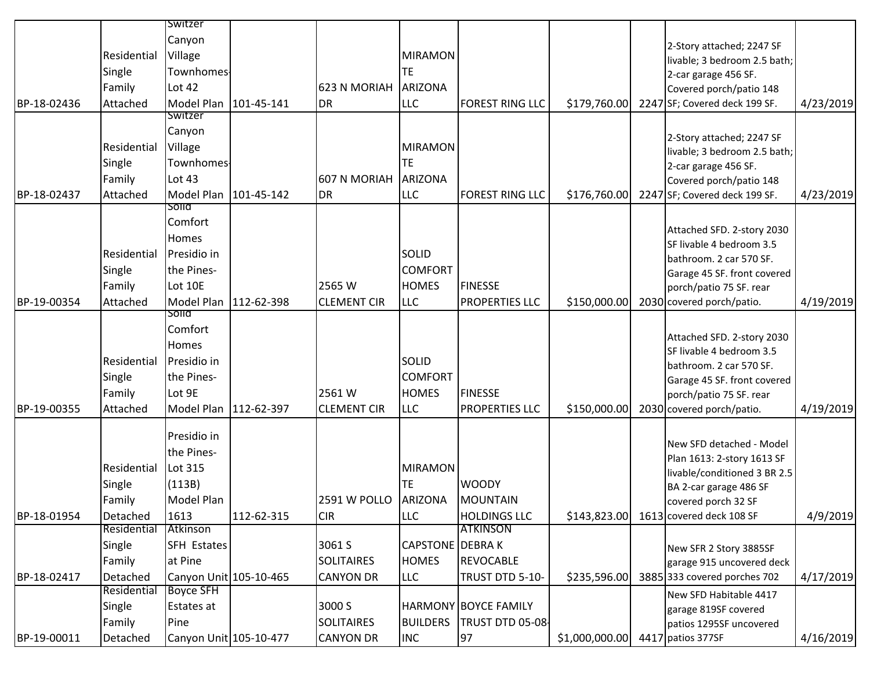|             |             | Switzer                |            |                     |                         |                        |                                   |      |                                               |           |
|-------------|-------------|------------------------|------------|---------------------|-------------------------|------------------------|-----------------------------------|------|-----------------------------------------------|-----------|
|             |             | Canyon                 |            |                     |                         |                        |                                   |      | 2-Story attached; 2247 SF                     |           |
|             | Residential | Village                |            |                     | <b>MIRAMON</b>          |                        |                                   |      | livable; 3 bedroom 2.5 bath;                  |           |
|             | Single      | Townhomes              |            |                     | TE.                     |                        |                                   |      | 2-car garage 456 SF.                          |           |
|             | Family      | <b>Lot 42</b>          |            | 623 N MORIAH        | <b>ARIZONA</b>          |                        |                                   |      | Covered porch/patio 148                       |           |
| BP-18-02436 | Attached    | Model Plan             | 101-45-141 | DR <sub></sub>      | <b>LLC</b>              | <b>FOREST RING LLC</b> | \$179,760.00                      | 2247 | SF; Covered deck 199 SF.                      | 4/23/2019 |
|             |             | Switzer                |            |                     |                         |                        |                                   |      |                                               |           |
|             |             | Canyon                 |            |                     |                         |                        |                                   |      | 2-Story attached; 2247 SF                     |           |
|             | Residential | Village                |            |                     | <b>MIRAMON</b>          |                        |                                   |      | livable; 3 bedroom 2.5 bath;                  |           |
|             | Single      | Townhomes              |            |                     | TE.                     |                        |                                   |      | 2-car garage 456 SF.                          |           |
|             | Family      | Lot 43                 |            | <b>607 N MORIAH</b> | <b>ARIZONA</b>          |                        |                                   |      | Covered porch/patio 148                       |           |
| BP-18-02437 | Attached    | Model Plan             | 101-45-142 | <b>I</b> DR         | <b>LLC</b>              | <b>FOREST RING LLC</b> | \$176,760.00                      | 2247 | SF; Covered deck 199 SF.                      | 4/23/2019 |
|             |             | solia                  |            |                     |                         |                        |                                   |      |                                               |           |
|             |             | Comfort                |            |                     |                         |                        |                                   |      | Attached SFD. 2-story 2030                    |           |
|             |             | Homes                  |            |                     |                         |                        |                                   |      | SF livable 4 bedroom 3.5                      |           |
|             | Residential | Presidio in            |            |                     | SOLID                   |                        |                                   |      | bathroom. 2 car 570 SF.                       |           |
|             | Single      | the Pines-             |            |                     | <b>COMFORT</b>          |                        |                                   |      | Garage 45 SF. front covered                   |           |
|             | Family      | Lot 10E                |            | 2565 W              | <b>HOMES</b>            | <b>FINESSE</b>         |                                   |      | porch/patio 75 SF. rear                       |           |
| BP-19-00354 | Attached    | Model Plan             | 112-62-398 | <b>CLEMENT CIR</b>  | <b>LLC</b>              | <b>PROPERTIES LLC</b>  | \$150,000.00                      |      | 2030 covered porch/patio.                     | 4/19/2019 |
|             |             | Solid<br>Comfort       |            |                     |                         |                        |                                   |      |                                               |           |
|             |             |                        |            |                     |                         |                        |                                   |      | Attached SFD. 2-story 2030                    |           |
|             |             | Homes                  |            |                     |                         |                        |                                   |      | SF livable 4 bedroom 3.5                      |           |
|             | Residential | Presidio in            |            |                     | <b>SOLID</b>            |                        |                                   |      | bathroom. 2 car 570 SF.                       |           |
|             | Single      | the Pines-             |            |                     | <b>COMFORT</b>          |                        |                                   |      | Garage 45 SF. front covered                   |           |
|             | Family      | Lot 9E                 |            | 2561 W              | <b>HOMES</b>            | <b>FINESSE</b>         |                                   |      | porch/patio 75 SF. rear                       |           |
| BP-19-00355 | Attached    | Model Plan             | 112-62-397 | <b>CLEMENT CIR</b>  | <b>LLC</b>              | <b>PROPERTIES LLC</b>  | \$150,000.00                      |      | 2030 covered porch/patio.                     | 4/19/2019 |
|             |             | Presidio in            |            |                     |                         |                        |                                   |      |                                               |           |
|             |             | the Pines-             |            |                     |                         |                        |                                   |      | New SFD detached - Model                      |           |
|             | Residential | Lot 315                |            |                     | <b>MIRAMON</b>          |                        |                                   |      | Plan 1613: 2-story 1613 SF                    |           |
|             | Single      | (113B)                 |            |                     | <b>TE</b>               | <b>WOODY</b>           |                                   |      | livable/conditioned 3 BR 2.5                  |           |
|             | Family      | Model Plan             |            | <b>2591 W POLLO</b> | ARIZONA                 | <b>MOUNTAIN</b>        |                                   |      | BA 2-car garage 486 SF<br>covered porch 32 SF |           |
| BP-18-01954 | Detached    | 1613                   | 112-62-315 | <b>CIR</b>          | <b>LLC</b>              | <b>HOLDINGS LLC</b>    | \$143,823.00                      |      | 1613 covered deck 108 SF                      | 4/9/2019  |
|             | Residential | Atkinson               |            |                     |                         | <b>ATKINSON</b>        |                                   |      |                                               |           |
|             | Single      | SFH Estates            |            | 3061 S              | <b>CAPSTONE</b> DEBRA K |                        |                                   |      | New SFR 2 Story 3885SF                        |           |
|             | Family      | at Pine                |            | <b>SOLITAIRES</b>   | <b>HOMES</b>            | <b>REVOCABLE</b>       |                                   |      | garage 915 uncovered deck                     |           |
| BP-18-02417 | Detached    | Canyon Unit 105-10-465 |            | <b>CANYON DR</b>    | <b>LLC</b>              | TRUST DTD 5-10-        | \$235,596.00                      |      | 3885 333 covered porches 702                  | 4/17/2019 |
|             | Residential | <b>Boyce SFH</b>       |            |                     |                         |                        |                                   |      | New SFD Habitable 4417                        |           |
|             | Single      | Estates at             |            | 3000 S              |                         | HARMONY BOYCE FAMILY   |                                   |      | garage 819SF covered                          |           |
|             | Family      | Pine                   |            | <b>SOLITAIRES</b>   | <b>BUILDERS</b>         | TRUST DTD 05-08        |                                   |      | patios 1295SF uncovered                       |           |
| BP-19-00011 | Detached    | Canyon Unit 105-10-477 |            | <b>CANYON DR</b>    | <b>INC</b>              | 97                     | $$1,000,000.00$ 4417 patios 377SF |      |                                               | 4/16/2019 |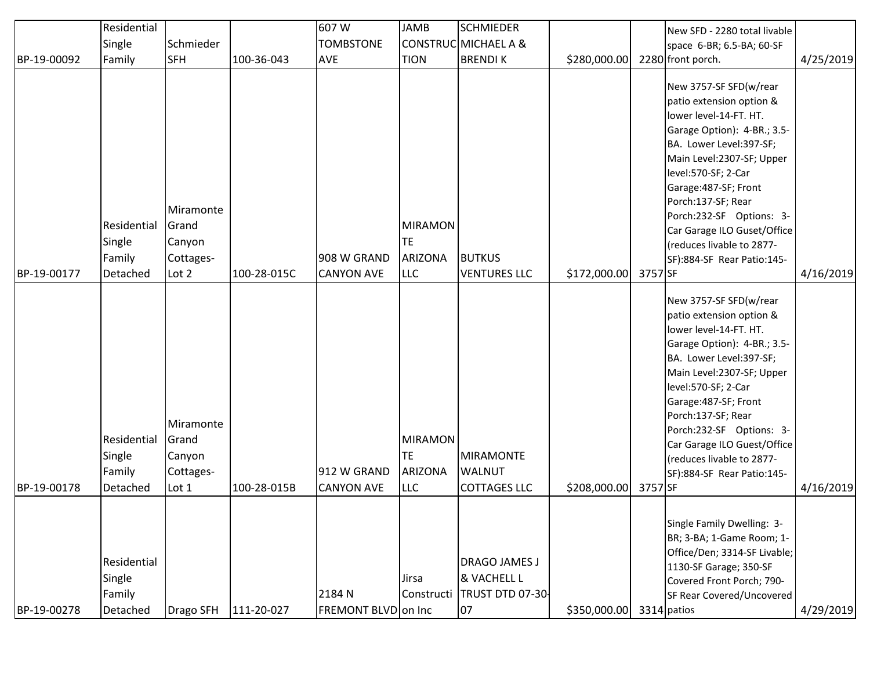|             | Residential                                 |                                                    |             | 607W                             | JAMB                                           | <b>SCHMIEDER</b>                                             |               |         | New SFD - 2280 total livable                                                                                                                                                                                                                                                                                                                                    |           |
|-------------|---------------------------------------------|----------------------------------------------------|-------------|----------------------------------|------------------------------------------------|--------------------------------------------------------------|---------------|---------|-----------------------------------------------------------------------------------------------------------------------------------------------------------------------------------------------------------------------------------------------------------------------------------------------------------------------------------------------------------------|-----------|
|             | Single                                      | Schmieder                                          |             | <b>TOMBSTONE</b>                 |                                                | CONSTRUC MICHAEL A &                                         |               |         | space 6-BR; 6.5-BA; 60-SF                                                                                                                                                                                                                                                                                                                                       |           |
| BP-19-00092 | Family                                      | <b>SFH</b>                                         | 100-36-043  | <b>AVE</b>                       | <b>TION</b>                                    | <b>BRENDIK</b>                                               | \$280,000.00  |         | 2280 front porch.                                                                                                                                                                                                                                                                                                                                               | 4/25/2019 |
| BP-19-00177 | Residential<br>Single<br>Family<br>Detached | Miramonte<br>Grand<br>Canyon<br>Cottages-<br>Lot 2 | 100-28-015C | 908 W GRAND<br><b>CANYON AVE</b> | <b>MIRAMON</b><br>TE.<br>ARIZONA<br><b>LLC</b> | <b>BUTKUS</b><br><b>VENTURES LLC</b>                         | \$172,000.00  | 3757 SF | New 3757-SF SFD(w/rear<br>patio extension option &<br>lower level-14-FT. HT.<br>Garage Option): 4-BR.; 3.5-<br>BA. Lower Level:397-SF;<br>Main Level:2307-SF; Upper<br>level:570-SF; 2-Car<br>Garage: 487-SF; Front<br>Porch:137-SF; Rear<br>Porch:232-SF Options: 3-<br>Car Garage ILO Guset/Office<br>(reduces livable to 2877-<br>SF):884-SF Rear Patio:145- | 4/16/2019 |
| BP-19-00178 | Residential<br>Single<br>Family<br>Detached | Miramonte<br>Grand<br>Canyon<br>Cottages-<br>Lot 1 | 100-28-015B | 912 W GRAND<br><b>CANYON AVE</b> | <b>MIRAMON</b><br>TE<br>ARIZONA<br><b>LLC</b>  | <b>MIRAMONTE</b><br><b>WALNUT</b><br><b>COTTAGES LLC</b>     | \$208,000.00] | 3757 SF | New 3757-SF SFD(w/rear<br>patio extension option &<br>lower level-14-FT. HT.<br>Garage Option): 4-BR.; 3.5-<br>BA. Lower Level:397-SF;<br>Main Level:2307-SF; Upper<br>level:570-SF; 2-Car<br>Garage: 487-SF; Front<br>Porch:137-SF; Rear<br>Porch:232-SF Options: 3-<br>Car Garage ILO Guest/Office<br>(reduces livable to 2877-<br>SF):884-SF Rear Patio:145- | 4/16/2019 |
| BP-19-00278 | Residential<br>Single<br>Family<br>Detached | Drago SFH                                          | 111-20-027  | 2184 N<br>FREMONT BLVD on Inc    | Jirsa<br>Constructi                            | <b>DRAGO JAMES J</b><br>& VACHELL L<br>TRUST DTD 07-30<br>07 | \$350,000.00  |         | Single Family Dwelling: 3-<br>BR; 3-BA; 1-Game Room; 1-<br>Office/Den; 3314-SF Livable;<br>1130-SF Garage; 350-SF<br>Covered Front Porch; 790-<br>SF Rear Covered/Uncovered<br>3314 patios                                                                                                                                                                      | 4/29/2019 |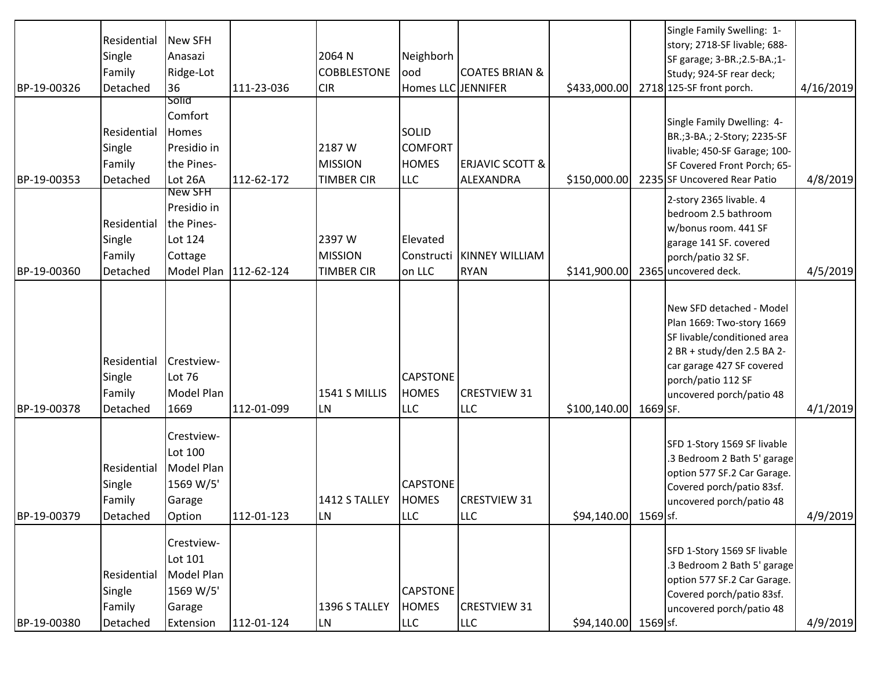| BP-19-00326 | Residential<br>Single<br>Family<br>Detached | <b>New SFH</b><br>Anasazi<br>Ridge-Lot<br>36                             | 111-23-036              | 2064 N<br><b>COBBLESTONE</b><br><b>CIR</b>    | Neighborh<br>ood<br>Homes LLC JENNIFER                       | <b>COATES BRIAN &amp;</b>               | \$433,000.00          |          | Single Family Swelling: 1-<br>story; 2718-SF livable; 688-<br>SF garage; 3-BR.; 2.5-BA.; 1-<br>Study; 924-SF rear deck;<br>2718 125-SF front porch.                                               | 4/16/2019 |
|-------------|---------------------------------------------|--------------------------------------------------------------------------|-------------------------|-----------------------------------------------|--------------------------------------------------------------|-----------------------------------------|-----------------------|----------|---------------------------------------------------------------------------------------------------------------------------------------------------------------------------------------------------|-----------|
| BP-19-00353 | Residential<br>Single<br>Family<br>Detached | Solid<br>Comfort<br><b>Homes</b><br>Presidio in<br>the Pines-<br>Lot 26A | 112-62-172              | 2187 W<br><b>MISSION</b><br><b>TIMBER CIR</b> | <b>SOLID</b><br><b>COMFORT</b><br><b>HOMES</b><br><b>LLC</b> | <b>ERJAVIC SCOTT &amp;</b><br>ALEXANDRA | \$150,000.00          |          | Single Family Dwelling: 4-<br>BR.; 3-BA.; 2-Story; 2235-SF<br>livable; 450-SF Garage; 100-<br>SF Covered Front Porch; 65-<br>2235 SF Uncovered Rear Patio                                         | 4/8/2019  |
| BP-19-00360 | Residential<br>Single<br>Family<br>Detached | New SFH<br>Presidio in<br>the Pines-<br>Lot 124<br>Cottage               | Model Plan   112-62-124 | 2397 W<br><b>MISSION</b><br><b>TIMBER CIR</b> | Elevated<br>Constructi<br>on LLC                             | KINNEY WILLIAM<br><b>RYAN</b>           | \$141,900.00          |          | 2-story 2365 livable. 4<br>bedroom 2.5 bathroom<br>w/bonus room. 441 SF<br>garage 141 SF. covered<br>porch/patio 32 SF.<br>2365 uncovered deck.                                                   | 4/5/2019  |
| BP-19-00378 | Residential<br>Single<br>Family<br>Detached | Crestview-<br>Lot 76<br>Model Plan<br>1669                               | 112-01-099              | 1541 S MILLIS<br>LN                           | <b>CAPSTONE</b><br><b>HOMES</b><br><b>LLC</b>                | <b>CRESTVIEW 31</b><br><b>LLC</b>       | \$100,140.00          | 1669 SF. | New SFD detached - Model<br>Plan 1669: Two-story 1669<br>SF livable/conditioned area<br>2 BR + study/den 2.5 BA 2-<br>car garage 427 SF covered<br>porch/patio 112 SF<br>uncovered porch/patio 48 | 4/1/2019  |
| BP-19-00379 | Residential<br>Single<br>Family<br>Detached | Crestview-<br>Lot 100<br>Model Plan<br>1569 W/5'<br>Garage<br>Option     | 112-01-123              | 1412 S TALLEY<br><b>LN</b>                    | <b>CAPSTONE</b><br><b>HOMES</b><br>ILLC                      | <b>CRESTVIEW 31</b><br><b>LLC</b>       | \$94,140.00           | 1569 sf. | SFD 1-Story 1569 SF livable<br>.3 Bedroom 2 Bath 5' garage<br>option 577 SF.2 Car Garage.<br>Covered porch/patio 83sf.<br>uncovered porch/patio 48                                                | 4/9/2019  |
| BP-19-00380 | Residential<br>Single<br>Family<br>Detached | Crestview-<br>Lot 101<br>Model Plan<br>1569 W/5'<br>Garage<br>Extension  | 112-01-124              | 1396 S TALLEY<br><b>LN</b>                    | <b>CAPSTONE</b><br><b>HOMES</b><br><b>LLC</b>                | <b>CRESTVIEW 31</b><br><b>LLC</b>       | $$94,140.00$ 1569 sf. |          | SFD 1-Story 1569 SF livable<br>.3 Bedroom 2 Bath 5' garage<br>option 577 SF.2 Car Garage.<br>Covered porch/patio 83sf.<br>uncovered porch/patio 48                                                | 4/9/2019  |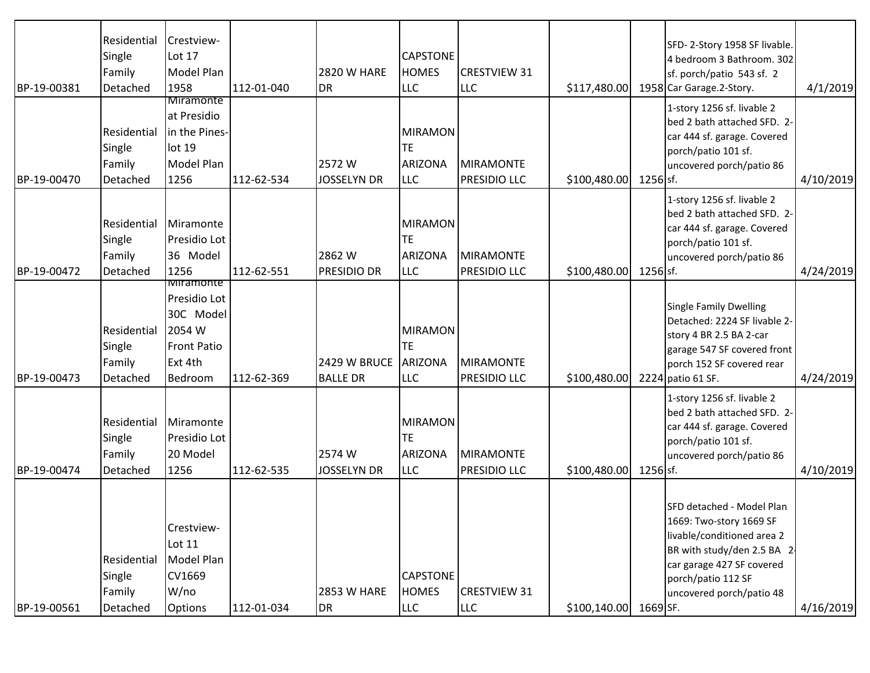|             | Residential | Crestview-         |            |                    |                 |                     |                       |          |                                                        |           |
|-------------|-------------|--------------------|------------|--------------------|-----------------|---------------------|-----------------------|----------|--------------------------------------------------------|-----------|
|             |             | Lot 17             |            |                    |                 |                     |                       |          | SFD-2-Story 1958 SF livable.                           |           |
|             | Single      |                    |            |                    | <b>CAPSTONE</b> |                     |                       |          | 4 bedroom 3 Bathroom. 302                              |           |
|             | Family      | Model Plan         |            | <b>2820 W HARE</b> | <b>HOMES</b>    | <b>CRESTVIEW 31</b> |                       |          | sf. porch/patio 543 sf. 2                              |           |
| BP-19-00381 | Detached    | 1958<br>Miramonte  | 112-01-040 | <b>DR</b>          | <b>LLC</b>      | <b>LLC</b>          | \$117,480.00          |          | 1958 Car Garage.2-Story.                               | 4/1/2019  |
|             |             | at Presidio        |            |                    |                 |                     |                       |          | 1-story 1256 sf. livable 2                             |           |
|             | Residential | in the Pines-      |            |                    | <b>MIRAMON</b>  |                     |                       |          | bed 2 bath attached SFD. 2-                            |           |
|             | Single      | lot 19             |            |                    | TE              |                     |                       |          | car 444 sf. garage. Covered                            |           |
|             | Family      | Model Plan         |            | 2572W              | <b>ARIZONA</b>  | MIRAMONTE           |                       |          | porch/patio 101 sf.                                    |           |
| BP-19-00470 | Detached    | 1256               | 112-62-534 | <b>JOSSELYN DR</b> | <b>LLC</b>      | PRESIDIO LLC        | \$100,480.00          | 1256 sf. | uncovered porch/patio 86                               | 4/10/2019 |
|             |             |                    |            |                    |                 |                     |                       |          |                                                        |           |
|             |             |                    |            |                    |                 |                     |                       |          | 1-story 1256 sf. livable 2                             |           |
|             | Residential | Miramonte          |            |                    | <b>MIRAMON</b>  |                     |                       |          | bed 2 bath attached SFD. 2-                            |           |
|             | Single      | Presidio Lot       |            |                    | ТE              |                     |                       |          | car 444 sf. garage. Covered                            |           |
|             | Family      | 36 Model           |            | 2862 W             | <b>ARIZONA</b>  | MIRAMONTE           |                       |          | porch/patio 101 sf.<br>uncovered porch/patio 86        |           |
| BP-19-00472 | Detached    | 1256               | 112-62-551 | <b>PRESIDIO DR</b> | <b>LLC</b>      | PRESIDIO LLC        | \$100,480.00          | 1256 sf. |                                                        | 4/24/2019 |
|             |             | <b>Miramonte</b>   |            |                    |                 |                     |                       |          |                                                        |           |
|             |             | Presidio Lot       |            |                    |                 |                     |                       |          |                                                        |           |
|             |             | 30C Model          |            |                    |                 |                     |                       |          | Single Family Dwelling<br>Detached: 2224 SF livable 2- |           |
|             | Residential | 2054 W             |            |                    | <b>MIRAMON</b>  |                     |                       |          | story 4 BR 2.5 BA 2-car                                |           |
|             | Single      | <b>Front Patio</b> |            |                    | TE              |                     |                       |          | garage 547 SF covered front                            |           |
|             | Family      | Ext 4th            |            | 2429 W BRUCE       | <b>ARIZONA</b>  | MIRAMONTE           |                       |          | porch 152 SF covered rear                              |           |
| BP-19-00473 | Detached    | Bedroom            | 112-62-369 | <b>BALLE DR</b>    | <b>LLC</b>      | PRESIDIO LLC        | \$100,480.00          |          | 2224 patio 61 SF.                                      | 4/24/2019 |
|             |             |                    |            |                    |                 |                     |                       |          | 1-story 1256 sf. livable 2                             |           |
|             |             |                    |            |                    |                 |                     |                       |          | bed 2 bath attached SFD. 2-                            |           |
|             | Residential | Miramonte          |            |                    | <b>MIRAMON</b>  |                     |                       |          | car 444 sf. garage. Covered                            |           |
|             | Single      | Presidio Lot       |            |                    | TE              |                     |                       |          | porch/patio 101 sf.                                    |           |
|             | Family      | 20 Model           |            | 2574 W             | <b>ARIZONA</b>  | MIRAMONTE           |                       |          | uncovered porch/patio 86                               |           |
| BP-19-00474 | Detached    | 1256               | 112-62-535 | <b>JOSSELYN DR</b> | <b>LLC</b>      | PRESIDIO LLC        | \$100,480.00          | 1256 sf. |                                                        | 4/10/2019 |
|             |             |                    |            |                    |                 |                     |                       |          |                                                        |           |
|             |             |                    |            |                    |                 |                     |                       |          | SFD detached - Model Plan                              |           |
|             |             | Crestview-         |            |                    |                 |                     |                       |          | 1669: Two-story 1669 SF                                |           |
|             |             | Lot 11             |            |                    |                 |                     |                       |          | livable/conditioned area 2                             |           |
|             | Residential | Model Plan         |            |                    |                 |                     |                       |          | BR with study/den 2.5 BA 2-                            |           |
|             |             |                    |            |                    |                 |                     |                       |          | car garage 427 SF covered                              |           |
|             | Single      | CV1669             |            |                    | <b>CAPSTONE</b> |                     |                       |          | porch/patio 112 SF                                     |           |
|             | Family      | W/no               |            | <b>2853 W HARE</b> | <b>HOMES</b>    | <b>CRESTVIEW 31</b> |                       |          | uncovered porch/patio 48                               |           |
| BP-19-00561 | Detached    | Options            | 112-01-034 | DR                 | <b>LLC</b>      | <b>LLC</b>          | \$100,140.00 1669 SF. |          |                                                        | 4/16/2019 |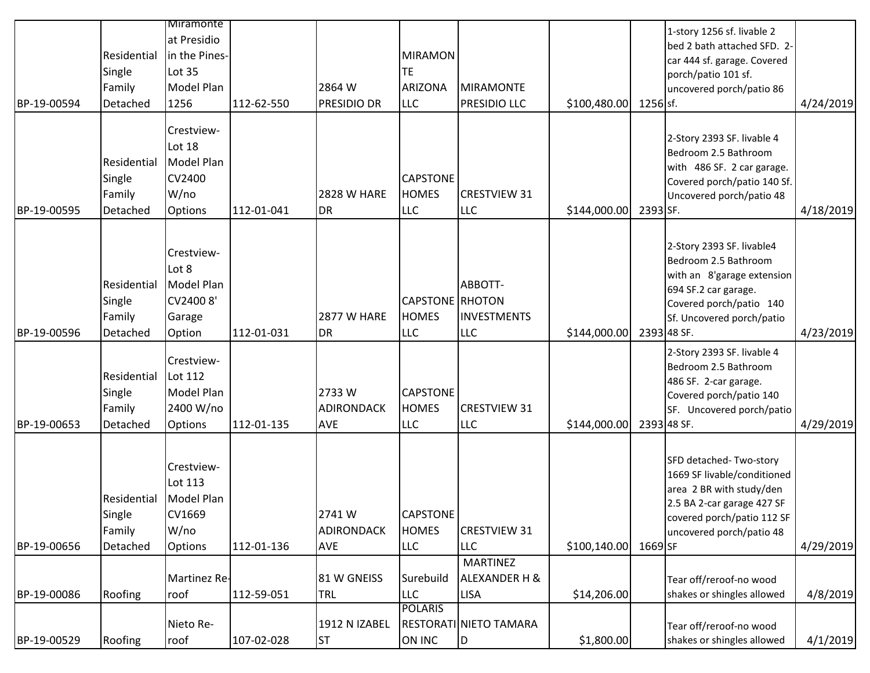|             |                                             | <b>Miramonte</b>                                                  |            |                                          |                                                             |                                             |              |           |                                                                                                                                                                                |           |
|-------------|---------------------------------------------|-------------------------------------------------------------------|------------|------------------------------------------|-------------------------------------------------------------|---------------------------------------------|--------------|-----------|--------------------------------------------------------------------------------------------------------------------------------------------------------------------------------|-----------|
| BP-19-00594 | Residential<br>Single<br>Family<br>Detached | at Presidio<br>in the Pines-<br>Lot 35<br>Model Plan<br>1256      | 112-62-550 | 2864 W<br>PRESIDIO DR                    | <b>MIRAMON</b><br><b>TE</b><br><b>ARIZONA</b><br><b>LLC</b> | MIRAMONTE<br><b>PRESIDIO LLC</b>            | \$100,480.00 | 1256 sf.  | 1-story 1256 sf. livable 2<br>bed 2 bath attached SFD. 2-<br>car 444 sf. garage. Covered<br>porch/patio 101 sf.<br>uncovered porch/patio 86                                    | 4/24/2019 |
| BP-19-00595 | Residential<br>Single<br>Family<br>Detached | Crestview-<br>Lot 18<br>Model Plan<br>CV2400<br>W/no<br>Options   | 112-01-041 | <b>2828 W HARE</b><br><b>DR</b>          | <b>CAPSTONE</b><br><b>HOMES</b><br><b>LLC</b>               | <b>CRESTVIEW 31</b><br><b>LLC</b>           | \$144,000.00 | 2393 SF.  | 2-Story 2393 SF. livable 4<br>Bedroom 2.5 Bathroom<br>with 486 SF. 2 car garage.<br>Covered porch/patio 140 Sf.<br>Uncovered porch/patio 48                                    | 4/18/2019 |
| BP-19-00596 | Residential<br>Single<br>Family<br>Detached | Crestview-<br>Lot 8<br>Model Plan<br>CV24008'<br>Garage<br>Option | 112-01-031 | <b>2877 W HARE</b><br><b>DR</b>          | <b>CAPSTONE</b> RHOTON<br><b>HOMES</b><br><b>LLC</b>        | ABBOTT-<br><b>INVESTMENTS</b><br><b>LLC</b> | \$144,000.00 |           | 2-Story 2393 SF. livable4<br>Bedroom 2.5 Bathroom<br>with an 8'garage extension<br>694 SF.2 car garage.<br>Covered porch/patio 140<br>Sf. Uncovered porch/patio<br>2393 48 SF. | 4/23/2019 |
| BP-19-00653 | Residential<br>Single<br>Family<br>Detached | Crestview-<br>Lot 112<br>Model Plan<br>2400 W/no<br>Options       | 112-01-135 | 2733W<br><b>ADIRONDACK</b><br><b>AVE</b> | <b>CAPSTONE</b><br><b>HOMES</b><br><b>LLC</b>               | <b>CRESTVIEW 31</b><br><b>LLC</b>           | \$144,000.00 |           | 2-Story 2393 SF. livable 4<br>Bedroom 2.5 Bathroom<br>486 SF. 2-car garage.<br>Covered porch/patio 140<br>SF. Uncovered porch/patio<br>2393 48 SF.                             | 4/29/2019 |
| BP-19-00656 | Residential<br>Single<br>Family<br>Detached | Crestview-<br>Lot 113<br>Model Plan<br>CV1669<br>W/no<br>Options  | 112-01-136 | 2741 W<br><b>ADIRONDACK</b><br>AVE       | CAPSTONE<br><b>HOMES</b><br><b>LLC</b>                      | <b>CRESTVIEW 31</b><br><b>LLC</b>           | \$100,140.00 | $1669$ SF | SFD detached-Two-story<br>1669 SF livable/conditioned<br>area 2 BR with study/den<br>2.5 BA 2-car garage 427 SF<br>covered porch/patio 112 SF<br>uncovered porch/patio 48      | 4/29/2019 |
|             |                                             |                                                                   |            |                                          |                                                             | <b>MARTINEZ</b>                             |              |           |                                                                                                                                                                                |           |
|             |                                             | Martinez Re-                                                      |            | 81 W GNEISS                              | Surebuild                                                   | <b>ALEXANDER H &amp;</b>                    |              |           | Tear off/reroof-no wood                                                                                                                                                        |           |
| BP-19-00086 | Roofing                                     | roof                                                              | 112-59-051 | TRL                                      | <b>LLC</b>                                                  | <b>LISA</b>                                 | \$14,206.00  |           | shakes or shingles allowed                                                                                                                                                     | 4/8/2019  |
|             |                                             | Nieto Re-                                                         |            | 1912 N IZABEL                            | <b>POLARIS</b>                                              | RESTORATI NIETO TAMARA                      |              |           |                                                                                                                                                                                |           |
| BP-19-00529 | Roofing                                     | roof                                                              | 107-02-028 | lst                                      | ON INC                                                      | ID.                                         | \$1,800.00   |           | Tear off/reroof-no wood<br>shakes or shingles allowed                                                                                                                          | 4/1/2019  |
|             |                                             |                                                                   |            |                                          |                                                             |                                             |              |           |                                                                                                                                                                                |           |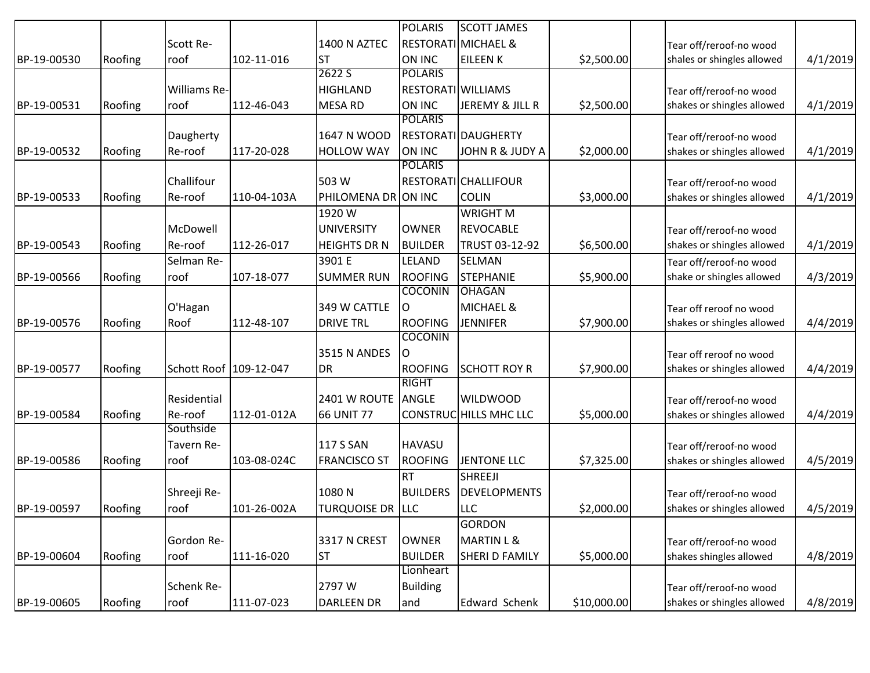|             |         |                        |             |                         | <b>POLARIS</b>  | <b>SCOTT JAMES</b>             |             |                            |          |
|-------------|---------|------------------------|-------------|-------------------------|-----------------|--------------------------------|-------------|----------------------------|----------|
|             |         | Scott Re-              |             | 1400 N AZTEC            |                 | <b>RESTORATI MICHAEL &amp;</b> |             | Tear off/reroof-no wood    |          |
| BP-19-00530 | Roofing | roof                   | 102-11-016  | <b>ST</b>               | ON INC          | <b>EILEEN K</b>                | \$2,500.00  | shales or shingles allowed | 4/1/2019 |
|             |         |                        |             | 2622 S                  | <b>POLARIS</b>  |                                |             |                            |          |
|             |         | Williams Re-           |             | <b>HIGHLAND</b>         |                 | <b>RESTORATI WILLIAMS</b>      |             | Tear off/reroof-no wood    |          |
| BP-19-00531 | Roofing | roof                   | 112-46-043  | <b>MESA RD</b>          | ON INC          | JEREMY & JILL R                | \$2,500.00  | shakes or shingles allowed | 4/1/2019 |
|             |         |                        |             |                         | <b>POLARIS</b>  |                                |             |                            |          |
|             |         | Daugherty              |             | 1647 N WOOD             |                 | RESTORATI DAUGHERTY            |             | Tear off/reroof-no wood    |          |
| BP-19-00532 | Roofing | Re-roof                | 117-20-028  | <b>HOLLOW WAY</b>       | ON INC          | <b>JOHN R &amp; JUDY A</b>     | \$2,000.00  | shakes or shingles allowed | 4/1/2019 |
|             |         |                        |             |                         | <b>POLARIS</b>  |                                |             |                            |          |
|             |         | Challifour             |             | 503 W                   |                 | RESTORATICHALLIFOUR            |             | Tear off/reroof-no wood    |          |
| BP-19-00533 | Roofing | Re-roof                | 110-04-103A | PHILOMENA DR ON INC     |                 | <b>COLIN</b>                   | \$3,000.00  | shakes or shingles allowed | 4/1/2019 |
|             |         |                        |             | 1920W                   |                 | <b>WRIGHT M</b>                |             |                            |          |
|             |         | McDowell               |             | <b>UNIVERSITY</b>       | <b>OWNER</b>    | <b>REVOCABLE</b>               |             | Tear off/reroof-no wood    |          |
| BP-19-00543 | Roofing | Re-roof                | 112-26-017  | <b>HEIGHTS DR N</b>     | <b>BUILDER</b>  | TRUST 03-12-92                 | \$6,500.00  | shakes or shingles allowed | 4/1/2019 |
|             |         | Selman Re-             |             | 3901 E                  | LELAND          | <b>SELMAN</b>                  |             | Tear off/reroof-no wood    |          |
| BP-19-00566 | Roofing | roof                   | 107-18-077  | <b>SUMMER RUN</b>       | <b>ROOFING</b>  | <b>STEPHANIE</b>               | \$5,900.00  | shake or shingles allowed  | 4/3/2019 |
|             |         |                        |             |                         | <b>COCONIN</b>  | <b>OHAGAN</b>                  |             |                            |          |
|             |         | O'Hagan                |             | 349 W CATTLE            | 0               | <b>MICHAEL &amp;</b>           |             | Tear off reroof no wood    |          |
| BP-19-00576 | Roofing | Roof                   | 112-48-107  | <b>DRIVE TRL</b>        | <b>ROOFING</b>  | <b>JENNIFER</b>                | \$7,900.00  | shakes or shingles allowed | 4/4/2019 |
|             |         |                        |             |                         | <b>COCONIN</b>  |                                |             |                            |          |
|             |         |                        |             | <b>3515 N ANDES</b>     | O               |                                |             | Tear off reroof no wood    |          |
| BP-19-00577 | Roofing | Schott Roof 109-12-047 |             | <b>DR</b>               | <b>ROOFING</b>  | <b>SCHOTT ROY R</b>            | \$7,900.00  | shakes or shingles allowed | 4/4/2019 |
|             |         |                        |             |                         | <b>RIGHT</b>    |                                |             |                            |          |
|             |         | Residential            |             | 2401 W ROUTE            | ANGLE           | <b>WILDWOOD</b>                |             | Tear off/reroof-no wood    |          |
| BP-19-00584 | Roofing | Re-roof                | 112-01-012A | <b>66 UNIT 77</b>       |                 | CONSTRUCHILLS MHC LLC          | \$5,000.00  | shakes or shingles allowed | 4/4/2019 |
|             |         | Southside              |             |                         |                 |                                |             |                            |          |
|             |         | Tavern Re-             |             | <b>117 S SAN</b>        | <b>HAVASU</b>   |                                |             | Tear off/reroof-no wood    |          |
| BP-19-00586 | Roofing | roof                   | 103-08-024C | <b>FRANCISCO ST</b>     | <b>ROOFING</b>  | <b>JENTONE LLC</b>             | \$7,325.00  | shakes or shingles allowed | 4/5/2019 |
|             |         |                        |             |                         | <b>RT</b>       | <b>SHREEJI</b>                 |             |                            |          |
|             |         | Shreeji Re-            |             | 1080N                   | <b>BUILDERS</b> | <b>DEVELOPMENTS</b>            |             | Tear off/reroof-no wood    |          |
| BP-19-00597 | Roofing | roof                   | 101-26-002A | <b>TURQUOISE DR LLC</b> |                 | <b>LLC</b>                     | \$2,000.00  | shakes or shingles allowed | 4/5/2019 |
|             |         |                        |             |                         |                 | <b>GORDON</b>                  |             |                            |          |
|             |         | Gordon Re-             |             | 3317 N CREST            | <b>OWNER</b>    | <b>MARTIN L &amp;</b>          |             | Tear off/reroof-no wood    |          |
| BP-19-00604 | Roofing | roof                   | 111-16-020  | lst                     | <b>BUILDER</b>  | SHERI D FAMILY                 | \$5,000.00  | shakes shingles allowed    | 4/8/2019 |
|             |         |                        |             |                         | Lionheart       |                                |             |                            |          |
|             |         | Schenk Re-             |             | 2797 W                  | <b>Building</b> |                                |             | Tear off/reroof-no wood    |          |
| BP-19-00605 | Roofing | roof                   | 111-07-023  | DARLEEN DR              | and             | Edward Schenk                  | \$10,000.00 | shakes or shingles allowed | 4/8/2019 |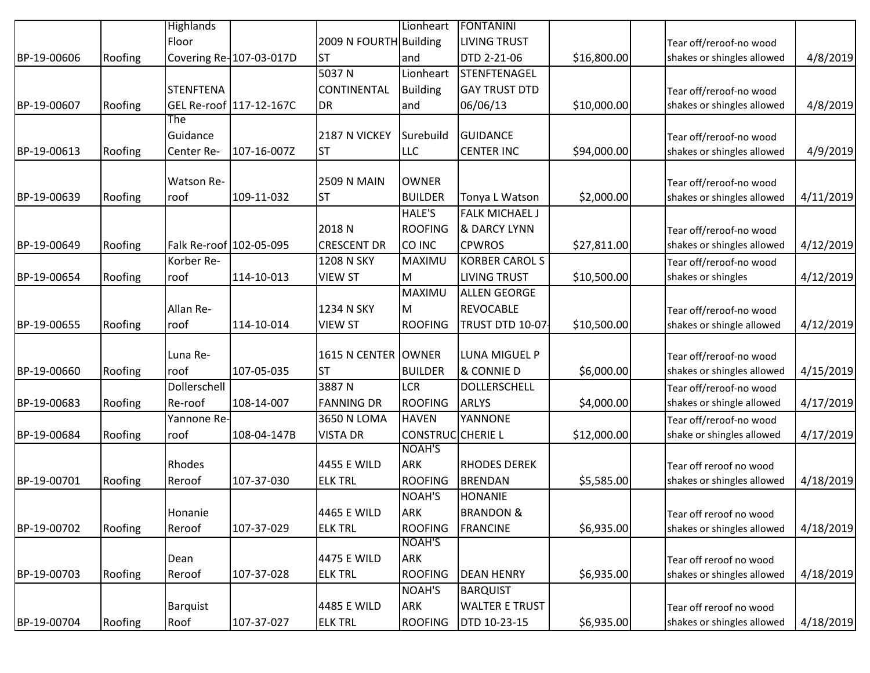|             |         | <b>Highlands</b>  |                         |                        | Lionheart               | <b>FONTANINI</b>      |             |                            |           |
|-------------|---------|-------------------|-------------------------|------------------------|-------------------------|-----------------------|-------------|----------------------------|-----------|
|             |         | Floor             |                         | 2009 N FOURTH Building |                         | <b>LIVING TRUST</b>   |             | Tear off/reroof-no wood    |           |
| BP-19-00606 | Roofing |                   | Covering Re-107-03-017D | ST                     | and                     | DTD 2-21-06           | \$16,800.00 | shakes or shingles allowed | 4/8/2019  |
|             |         |                   |                         | 5037N                  | Lionheart               | STENFTENAGEL          |             |                            |           |
|             |         | <b>STENFTENA</b>  |                         | CONTINENTAL            | <b>Building</b>         | <b>GAY TRUST DTD</b>  |             | Tear off/reroof-no wood    |           |
| BP-19-00607 | Roofing |                   | GEL Re-roof 117-12-167C | <b>DR</b>              | and                     | 06/06/13              | \$10,000.00 | shakes or shingles allowed | 4/8/2019  |
|             |         | The               |                         |                        |                         |                       |             |                            |           |
|             |         | Guidance          |                         | 2187 N VICKEY          | Surebuild               | <b>GUIDANCE</b>       |             | Tear off/reroof-no wood    |           |
| BP-19-00613 | Roofing | Center Re-        | 107-16-007Z             | <b>ST</b>              | LLC                     | <b>CENTER INC</b>     | \$94,000.00 | shakes or shingles allowed | 4/9/2019  |
|             |         |                   |                         |                        |                         |                       |             |                            |           |
|             |         | <b>Watson Re-</b> |                         | <b>2509 N MAIN</b>     | <b>OWNER</b>            |                       |             | Tear off/reroof-no wood    |           |
| BP-19-00639 | Roofing | roof              | 109-11-032              | <b>ST</b>              | <b>BUILDER</b>          | Tonya L Watson        | \$2,000.00] | shakes or shingles allowed | 4/11/2019 |
|             |         |                   |                         |                        | HALE'S                  | <b>FALK MICHAEL J</b> |             |                            |           |
|             |         |                   |                         | 2018 <sub>N</sub>      | <b>ROOFING</b>          | & DARCY LYNN          |             | Tear off/reroof-no wood    |           |
| BP-19-00649 | Roofing |                   | Falk Re-roof 102-05-095 | <b>CRESCENT DR</b>     | CO INC                  | <b>CPWROS</b>         | \$27,811.00 | shakes or shingles allowed | 4/12/2019 |
|             |         | Korber Re-        |                         | 1208 N SKY             | MAXIMU                  | <b>KORBER CAROL S</b> |             | Tear off/reroof-no wood    |           |
| BP-19-00654 | Roofing | roof              | 114-10-013              | <b>VIEW ST</b>         | м                       | <b>LIVING TRUST</b>   | \$10,500.00 | shakes or shingles         | 4/12/2019 |
|             |         |                   |                         |                        | MAXIMU                  | <b>ALLEN GEORGE</b>   |             |                            |           |
|             |         | Allan Re-         |                         | 1234 N SKY             | lм                      | <b>REVOCABLE</b>      |             | Tear off/reroof-no wood    |           |
| BP-19-00655 | Roofing | roof              | 114-10-014              | <b>VIEW ST</b>         | <b>ROOFING</b>          | TRUST DTD 10-07       | \$10,500.00 | shakes or shingle allowed  | 4/12/2019 |
|             |         |                   |                         |                        |                         |                       |             |                            |           |
|             |         | Luna Re-          |                         | 1615 N CENTER OWNER    |                         | <b>LUNA MIGUEL P</b>  |             | Tear off/reroof-no wood    |           |
| BP-19-00660 | Roofing | roof              | 107-05-035              | <b>ST</b>              | <b>BUILDER</b>          | & CONNIE D            | \$6,000.00  | shakes or shingles allowed | 4/15/2019 |
|             |         | Dollerschell      |                         | 3887N                  | <b>LCR</b>              | DOLLERSCHELL          |             | Tear off/reroof-no wood    |           |
| BP-19-00683 | Roofing | Re-roof           | 108-14-007              | <b>FANNING DR</b>      | <b>ROOFING</b>          | <b>ARLYS</b>          | \$4,000.00] | shakes or shingle allowed  | 4/17/2019 |
|             |         | Yannone Re-       |                         | 3650 N LOMA            | <b>HAVEN</b>            | YANNONE               |             | Tear off/reroof-no wood    |           |
| BP-19-00684 | Roofing | roof              | 108-04-147B             | <b>VISTA DR</b>        | <b>CONSTRUCCHERIE L</b> |                       | \$12,000.00 | shake or shingles allowed  | 4/17/2019 |
|             |         |                   |                         |                        | <b>NOAH'S</b>           |                       |             |                            |           |
|             |         | Rhodes            |                         | 4455 E WILD            | <b>ARK</b>              | <b>RHODES DEREK</b>   |             | Tear off reroof no wood    |           |
| BP-19-00701 | Roofing | Reroof            | 107-37-030              | <b>ELK TRL</b>         | <b>ROOFING</b>          | <b>BRENDAN</b>        | \$5,585.00  | shakes or shingles allowed | 4/18/2019 |
|             |         |                   |                         |                        | NOAH'S                  | <b>HONANIE</b>        |             |                            |           |
|             |         | Honanie           |                         | 4465 E WILD            | <b>ARK</b>              | <b>BRANDON &amp;</b>  |             | Tear off reroof no wood    |           |
| BP-19-00702 | Roofing | Reroof            | 107-37-029              | <b>ELK TRL</b>         | <b>ROOFING</b>          | <b>FRANCINE</b>       | \$6,935.00  | shakes or shingles allowed | 4/18/2019 |
|             |         |                   |                         |                        | NOAH'S                  |                       |             |                            |           |
|             |         | Dean              |                         | 4475 E WILD            | <b>ARK</b>              |                       |             | Tear off reroof no wood    |           |
| BP-19-00703 | Roofing | Reroof            | 107-37-028              | <b>ELK TRL</b>         | <b>ROOFING</b>          | <b>DEAN HENRY</b>     | \$6,935.00  | shakes or shingles allowed | 4/18/2019 |
|             |         |                   |                         |                        | NOAH'S                  | <b>BARQUIST</b>       |             |                            |           |
|             |         | Barquist          |                         | 4485 E WILD            | <b>ARK</b>              | <b>WALTER E TRUST</b> |             | Tear off reroof no wood    |           |
| BP-19-00704 | Roofing | Roof              | 107-37-027              | <b>ELK TRL</b>         | <b>ROOFING</b>          | DTD 10-23-15          | \$6,935.00  | shakes or shingles allowed | 4/18/2019 |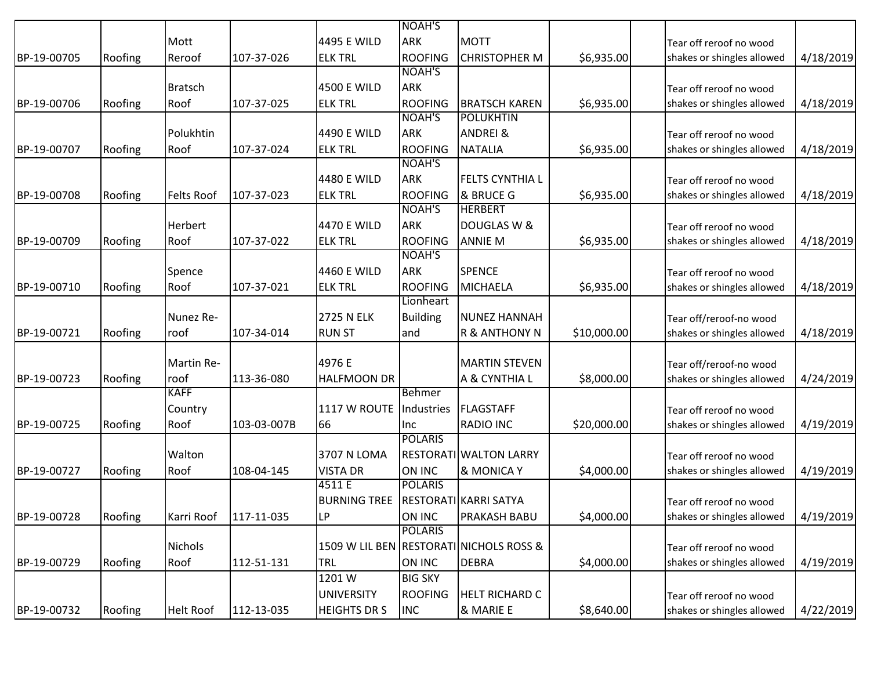|             |         |                   |             |                     | <b>NOAH'S</b>   |                                         |             |                            |           |
|-------------|---------|-------------------|-------------|---------------------|-----------------|-----------------------------------------|-------------|----------------------------|-----------|
|             |         | Mott              |             | 4495 E WILD         | <b>ARK</b>      | <b>MOTT</b>                             |             | Tear off reroof no wood    |           |
| BP-19-00705 | Roofing | Reroof            | 107-37-026  | <b>ELK TRL</b>      | <b>ROOFING</b>  | <b>CHRISTOPHER M</b>                    | \$6,935.00  | shakes or shingles allowed | 4/18/2019 |
|             |         |                   |             |                     | <b>NOAH'S</b>   |                                         |             |                            |           |
|             |         | <b>Bratsch</b>    |             | 4500 E WILD         | <b>ARK</b>      |                                         |             | Tear off reroof no wood    |           |
| BP-19-00706 | Roofing | Roof              | 107-37-025  | <b>ELK TRL</b>      | <b>ROOFING</b>  | <b>BRATSCH KAREN</b>                    | \$6,935.00  | shakes or shingles allowed | 4/18/2019 |
|             |         |                   |             |                     | <b>NOAH'S</b>   | <b>POLUKHTIN</b>                        |             |                            |           |
|             |         | Polukhtin         |             | 4490 E WILD         | <b>ARK</b>      | <b>ANDREI &amp;</b>                     |             | Tear off reroof no wood    |           |
| BP-19-00707 | Roofing | Roof              | 107-37-024  | <b>ELK TRL</b>      | <b>ROOFING</b>  | <b>NATALIA</b>                          | \$6,935.00  | shakes or shingles allowed | 4/18/2019 |
|             |         |                   |             |                     | <b>NOAH'S</b>   |                                         |             |                            |           |
|             |         |                   |             | 4480 E WILD         | <b>ARK</b>      | <b>FELTS CYNTHIA L</b>                  |             | Tear off reroof no wood    |           |
| BP-19-00708 | Roofing | <b>Felts Roof</b> | 107-37-023  | <b>ELK TRL</b>      | <b>ROOFING</b>  | & BRUCE G                               | \$6,935.00  | shakes or shingles allowed | 4/18/2019 |
|             |         |                   |             |                     | NOAH'S          | <b>HERBERT</b>                          |             |                            |           |
|             |         | Herbert           |             | 4470 E WILD         | <b>ARK</b>      | DOUGLAS W &                             |             | Tear off reroof no wood    |           |
| BP-19-00709 | Roofing | Roof              | 107-37-022  | <b>ELK TRL</b>      | <b>ROOFING</b>  | <b>ANNIE M</b>                          | \$6,935.00  | shakes or shingles allowed | 4/18/2019 |
|             |         |                   |             |                     | <b>NOAH'S</b>   |                                         |             |                            |           |
|             |         | Spence            |             | 4460 E WILD         | <b>ARK</b>      | <b>SPENCE</b>                           |             | Tear off reroof no wood    |           |
| BP-19-00710 | Roofing | Roof              | 107-37-021  | <b>ELK TRL</b>      | <b>ROOFING</b>  | <b>MICHAELA</b>                         | \$6,935.00  | shakes or shingles allowed | 4/18/2019 |
|             |         |                   |             |                     | Lionheart       |                                         |             |                            |           |
|             |         | Nunez Re-         |             | <b>2725 N ELK</b>   | <b>Building</b> | <b>NUNEZ HANNAH</b>                     |             | Tear off/reroof-no wood    |           |
| BP-19-00721 | Roofing | roof              | 107-34-014  | <b>IRUN ST</b>      | land            | <b>R &amp; ANTHONY N</b>                | \$10,000.00 | shakes or shingles allowed | 4/18/2019 |
|             |         |                   |             |                     |                 |                                         |             |                            |           |
|             |         | Martin Re-        |             | 4976 E              |                 | <b>MARTIN STEVEN</b>                    |             | Tear off/reroof-no wood    |           |
| BP-19-00723 | Roofing | roof              | 113-36-080  | <b>HALFMOON DR</b>  |                 | A & CYNTHIA L                           | \$8,000.00  | shakes or shingles allowed | 4/24/2019 |
|             |         | <b>KAFF</b>       |             |                     | <b>Behmer</b>   |                                         |             |                            |           |
|             |         | Country           |             | 1117 W ROUTE        | Industries      | <b>FLAGSTAFF</b>                        |             | Tear off reroof no wood    |           |
| BP-19-00725 | Roofing | Roof              | 103-03-007B | 66                  | Inc             | <b>RADIO INC</b>                        | \$20,000.00 | shakes or shingles allowed | 4/19/2019 |
|             |         |                   |             |                     | <b>POLARIS</b>  |                                         |             |                            |           |
|             |         | Walton            |             | 3707 N LOMA         |                 | RESTORATI WALTON LARRY                  |             | Tear off reroof no wood    |           |
| BP-19-00727 | Roofing | Roof              | 108-04-145  | <b>VISTA DR</b>     | <b>ON INC</b>   | & MONICA Y                              | \$4,000.00  | shakes or shingles allowed | 4/19/2019 |
|             |         |                   |             | 4511 E              | <b>POLARIS</b>  |                                         |             |                            |           |
|             |         |                   |             | <b>BURNING TREE</b> |                 | RESTORATI KARRI SATYA                   |             | Tear off reroof no wood    |           |
| BP-19-00728 | Roofing | Karri Roof        | 117-11-035  | LP                  | <b>ON INC</b>   | <b>PRAKASH BABU</b>                     | \$4,000.00  | shakes or shingles allowed | 4/19/2019 |
|             |         |                   |             |                     | <b>POLARIS</b>  |                                         |             |                            |           |
|             |         | <b>Nichols</b>    |             |                     |                 | 1509 W LIL BEN RESTORATI NICHOLS ROSS & |             | Tear off reroof no wood    |           |
| BP-19-00729 | Roofing | Roof              | 112-51-131  | TRL                 | ON INC          | <b>DEBRA</b>                            | \$4,000.00  | shakes or shingles allowed | 4/19/2019 |
|             |         |                   |             | 1201W               | <b>BIG SKY</b>  |                                         |             |                            |           |
|             |         |                   |             | <b>UNIVERSITY</b>   | <b>ROOFING</b>  | <b>HELT RICHARD C</b>                   |             | Tear off reroof no wood    |           |
| BP-19-00732 | Roofing | <b>Helt Roof</b>  | 112-13-035  | <b>HEIGHTS DR S</b> | <b>INC</b>      | & MARIE E                               | \$8,640.00  | shakes or shingles allowed | 4/22/2019 |